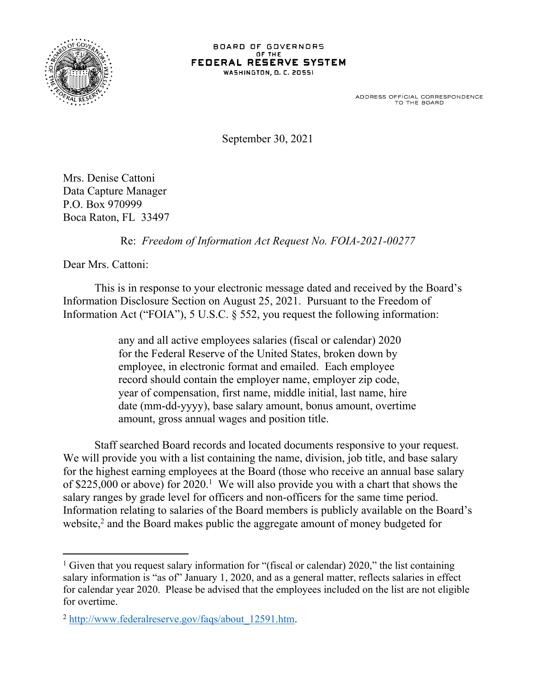

## BOARD OF GOVERNORS OF THE FEDERAL RESERVE SYSTEM **WASHINGTON, D. C. 20551**

ADDRESS OFFICIAL CORRESPONDENCE<br>TO THE BOARD

September 30, 2021

Mrs. Denise Cattoni Data Capture Manager P.O. Box 970999 Boca Raton, FL 33497

Re: *Freedom of Information Act Request No. FOIA-2021-00277*

Dear Mrs. Cattoni:

This is in response to your electronic message dated and received by the Board's Information Disclosure Section on August 25, 2021. Pursuant to the Freedom of Information Act ("FOIA"), 5 U.S.C. § 552, you request the following information:

> any and all active employees salaries (fiscal or calendar) 2020 for the Federal Reserve of the United States, broken down by employee, in electronic format and emailed. Each employee record should contain the employer name, employer zip code, year of compensation, first name, middle initial, last name, hire date (mm-dd-yyyy), base salary amount, bonus amount, overtime amount, gross annual wages and position title.

Staff searched Board records and located documents responsive to your request. We will provide you with a list containing the name, division, job title, and base salary for the highest earning employees at the Board (those who receive an annual base salary of \$225,000 or above) for 2020.<sup>1</sup> We will also provide you with a chart that shows the salary ranges by grade level for officers and non-officers for the same time period. Information relating to salaries of the Board members is publicly available on the Board's website, $2$  and the Board makes public the aggregate amount of money budgeted for

<sup>&</sup>lt;sup>1</sup> Given that you request salary information for "(fiscal or calendar) 2020," the list containing salary information is "as of" January 1, 2020, and as a general matter, reflects salaries in effect for calendar year 2020. Please be advised that the employees included on the list are not eligible for overtime.

<sup>2</sup> [http://www.federalreserve.gov/faqs/about\\_12591.htm.](http://www.federalreserve.gov/faqs/about_12591.htm)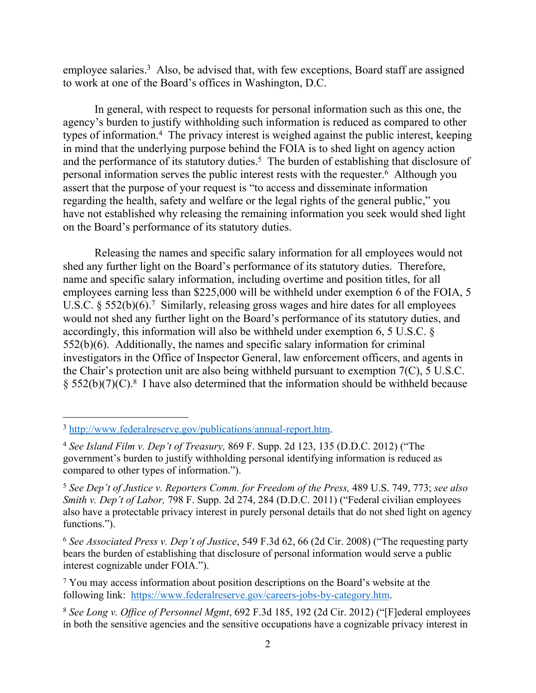employee salaries.<sup>3</sup> Also, be advised that, with few exceptions, Board staff are assigned to work at one of the Board's offices in Washington, D.C.

In general, with respect to requests for personal information such as this one, the agency's burden to justify withholding such information is reduced as compared to other types of information.<sup>4</sup> The privacy interest is weighed against the public interest, keeping in mind that the underlying purpose behind the FOIA is to shed light on agency action and the performance of its statutory duties.<sup>5</sup> The burden of establishing that disclosure of personal information serves the public interest rests with the requester.<sup>6</sup> Although you assert that the purpose of your request is "to access and disseminate information regarding the health, safety and welfare or the legal rights of the general public," you have not established why releasing the remaining information you seek would shed light on the Board's performance of its statutory duties.

Releasing the names and specific salary information for all employees would not shed any further light on the Board's performance of its statutory duties. Therefore, name and specific salary information, including overtime and position titles, for all employees earning less than \$225,000 will be withheld under exemption 6 of the FOIA, 5 U.S.C.  $\S 552(b)(6)$ .<sup>7</sup> Similarly, releasing gross wages and hire dates for all employees would not shed any further light on the Board's performance of its statutory duties, and accordingly, this information will also be withheld under exemption 6, 5 U.S.C. § 552(b)(6). Additionally, the names and specific salary information for criminal investigators in the Office of Inspector General, law enforcement officers, and agents in the Chair's protection unit are also being withheld pursuant to exemption 7(C), 5 U.S.C.  $\S 552(b)(7)(C).$ <sup>8</sup> I have also determined that the information should be withheld because

<sup>3</sup> <http://www.federalreserve.gov/publications/annual-report.htm>.

<sup>4</sup> *See Island Film v. Dep't of Treasury,* 869 F. Supp. 2d 123, 135 (D.D.C. 2012) ("The government's burden to justify withholding personal identifying information is reduced as compared to other types of information.").

<sup>5</sup> *See Dep't of Justice v. Reporters Comm. for Freedom of the Press,* 489 U.S. 749, 773; *see also Smith v. Dep't of Labor,* 798 F. Supp. 2d 274, 284 (D.D.C. 2011) ("Federal civilian employees also have a protectable privacy interest in purely personal details that do not shed light on agency functions.").

<sup>6</sup> *See Associated Press v. Dep't of Justice*, 549 F.3d 62, 66 (2d Cir. 2008) ("The requesting party bears the burden of establishing that disclosure of personal information would serve a public interest cognizable under FOIA.").

<sup>&</sup>lt;sup>7</sup> You may access information about position descriptions on the Board's website at the following link: <https://www.federalreserve.gov/careers-jobs-by-category.htm>.

<sup>8</sup> *See Long v. Office of Personnel Mgmt*, 692 F.3d 185, 192 (2d Cir. 2012) ("[F]ederal employees in both the sensitive agencies and the sensitive occupations have a cognizable privacy interest in